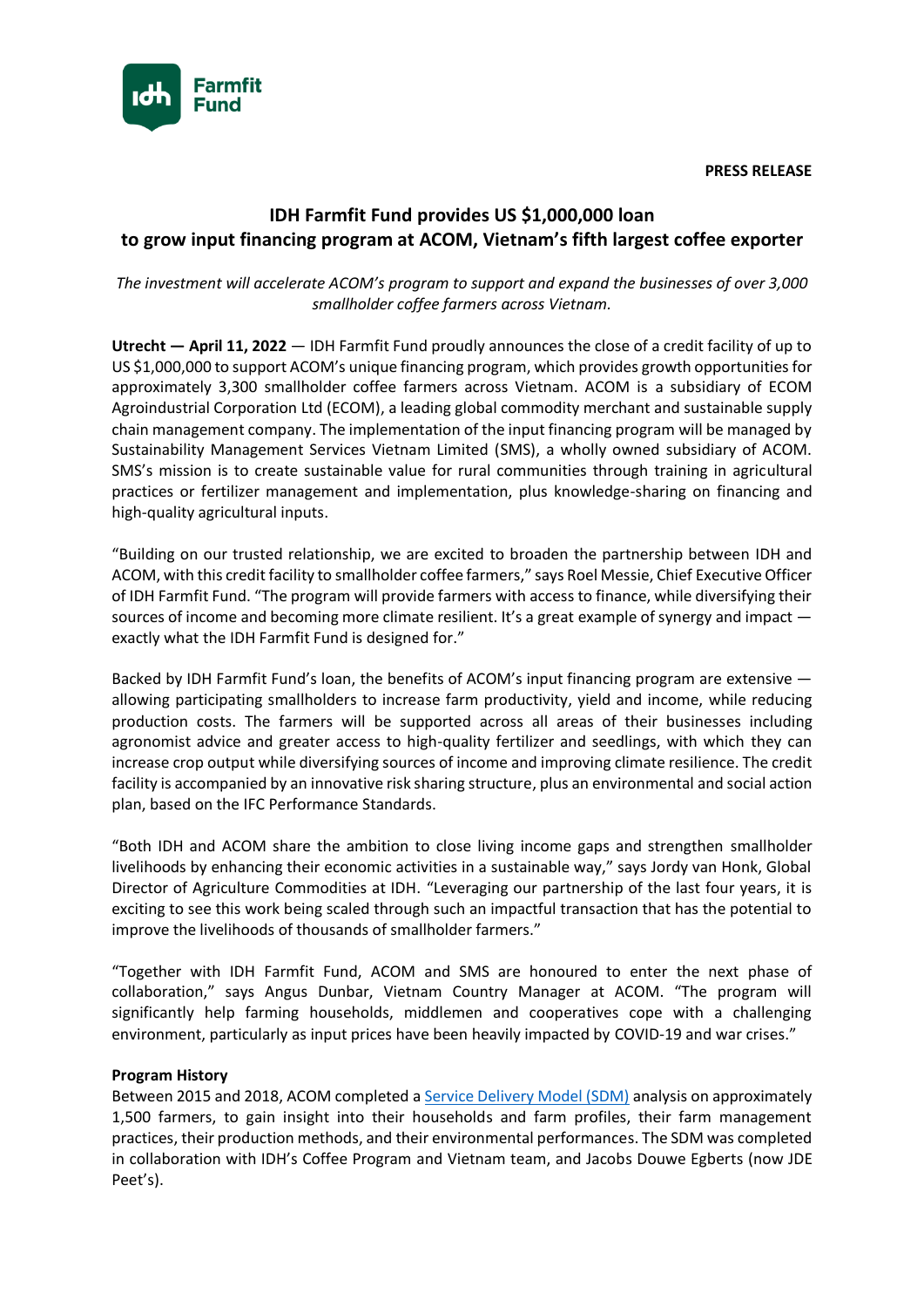**PRESS RELEASE**



# **IDH Farmfit Fund provides US \$1,000,000 loan to grow input financing program at ACOM, Vietnam's fifth largest coffee exporter**

# *The investment will accelerate ACOM's program to support and expand the businesses of over 3,000 smallholder coffee farmers across Vietnam.*

**Utrecht — April 11, 2022** — IDH Farmfit Fund proudly announces the close of a credit facility of up to US \$1,000,000 to support ACOM's unique financing program, which provides growth opportunities for approximately 3,300 smallholder coffee farmers across Vietnam. ACOM is a subsidiary of ECOM Agroindustrial Corporation Ltd (ECOM), a leading global commodity merchant and sustainable supply chain management company. The implementation of the input financing program will be managed by Sustainability Management Services Vietnam Limited (SMS), a wholly owned subsidiary of ACOM. SMS's mission is to create sustainable value for rural communities through training in agricultural practices or fertilizer management and implementation, plus knowledge-sharing on financing and high-quality agricultural inputs.

"Building on our trusted relationship, we are excited to broaden the partnership between IDH and ACOM, with this credit facility to smallholder coffee farmers," says Roel Messie, Chief Executive Officer of IDH Farmfit Fund. "The program will provide farmers with access to finance, while diversifying their sources of income and becoming more climate resilient. It's a great example of synergy and impact exactly what the IDH Farmfit Fund is designed for."

Backed by IDH Farmfit Fund's loan, the benefits of ACOM's input financing program are extensive allowing participating smallholders to increase farm productivity, yield and income, while reducing production costs. The farmers will be supported across all areas of their businesses including agronomist advice and greater access to high-quality fertilizer and seedlings, with which they can increase crop output while diversifying sources of income and improving climate resilience. The credit facility is accompanied by an innovative risk sharing structure, plus an environmental and social action plan, based on the IFC Performance Standards.

"Both IDH and ACOM share the ambition to close living income gaps and strengthen smallholder livelihoods by enhancing their economic activities in a sustainable way," says Jordy van Honk, Global Director of Agriculture Commodities at IDH. "Leveraging our partnership of the last four years, it is exciting to see this work being scaled through such an impactful transaction that has the potential to improve the livelihoods of thousands of smallholder farmers."

"Together with IDH Farmfit Fund, ACOM and SMS are honoured to enter the next phase of collaboration," says Angus Dunbar, Vietnam Country Manager at ACOM. "The program will significantly help farming households, middlemen and cooperatives cope with a challenging environment, particularly as input prices have been heavily impacted by COVID-19 and war crises."

## **Program History**

Between 2015 and 2018, ACOM completed [a Service Delivery Model \(SDM\)](https://www.idhsustainabletrade.com/publication/sdm-case-study-acom-vietnam/) analysis on approximately 1,500 farmers, to gain insight into their households and farm profiles, their farm management practices, their production methods, and their environmental performances. The SDM was completed in collaboration with IDH's Coffee Program and Vietnam team, and Jacobs Douwe Egberts (now JDE Peet's).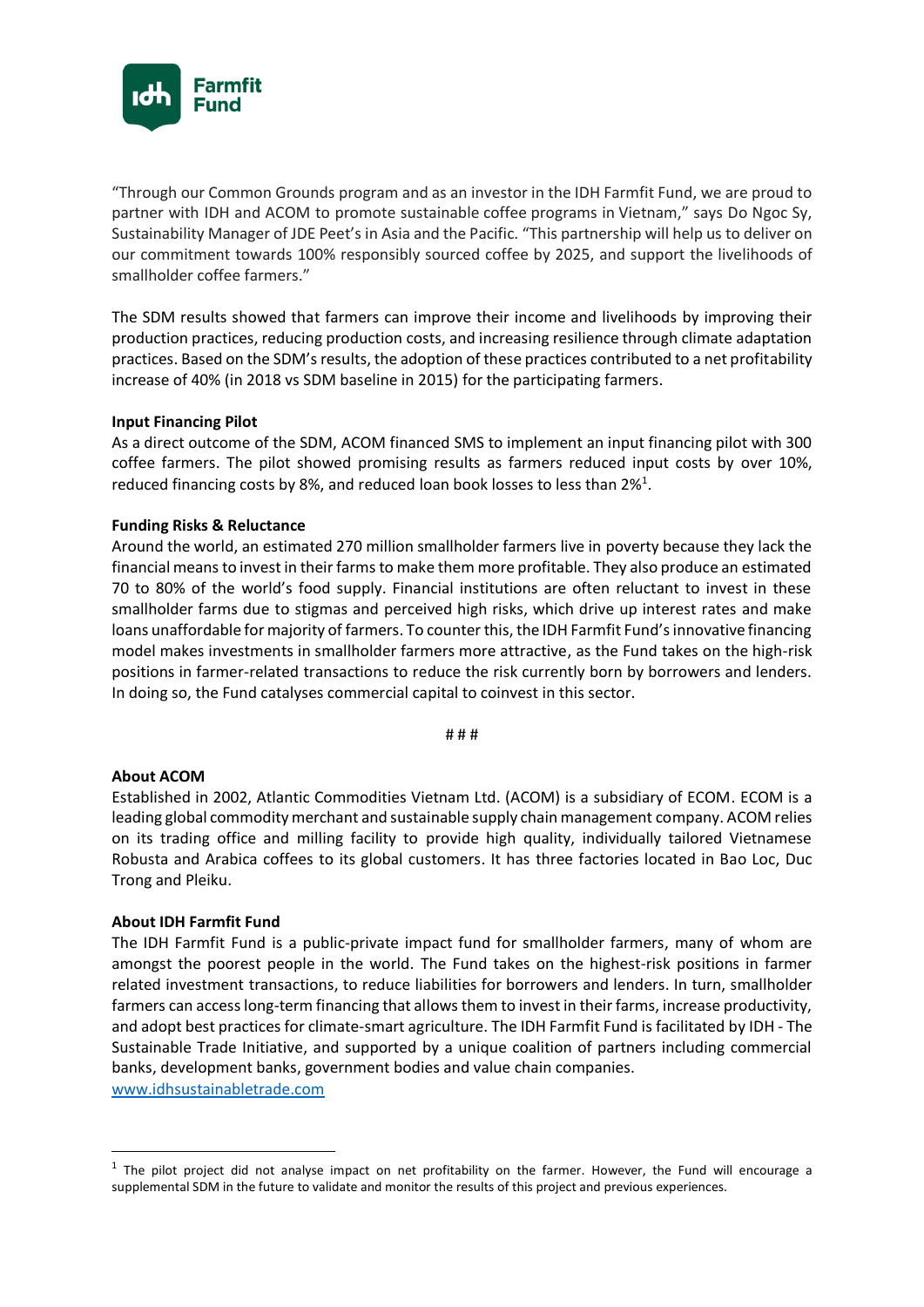

"Through our Common Grounds program and as an investor in the IDH Farmfit Fund, we are proud to partner with IDH and ACOM to promote sustainable coffee programs in Vietnam," says Do Ngoc Sy, Sustainability Manager of JDE Peet's in Asia and the Pacific. "This partnership will help us to deliver on our commitment towards 100% responsibly sourced coffee by 2025, and support the livelihoods of smallholder coffee farmers."

The SDM results showed that farmers can improve their income and livelihoods by improving their production practices, reducing production costs, and increasing resilience through climate adaptation practices. Based on the SDM's results, the adoption of these practices contributed to a net profitability increase of 40% (in 2018 vs SDM baseline in 2015) for the participating farmers.

### **Input Financing Pilot**

As a direct outcome of the SDM, ACOM financed SMS to implement an input financing pilot with 300 coffee farmers. The pilot showed promising results as farmers reduced input costs by over 10%, reduced financing costs by 8%, and reduced loan book losses to less than  $2\%$ <sup>1</sup>.

### **Funding Risks & Reluctance**

Around the world, an estimated 270 million smallholder farmers live in poverty because they lack the financial means to invest in their farms to make them more profitable. They also produce an estimated 70 to 80% of the world's food supply. Financial institutions are often reluctant to invest in these smallholder farms due to stigmas and perceived high risks, which drive up interest rates and make loans unaffordable for majority of farmers. To counter this, the IDH Farmfit Fund's innovative financing model makes investments in smallholder farmers more attractive, as the Fund takes on the high-risk positions in farmer-related transactions to reduce the risk currently born by borrowers and lenders. In doing so, the Fund catalyses commercial capital to coinvest in this sector.

# # #

#### **About ACOM**

Established in 2002, Atlantic Commodities Vietnam Ltd. (ACOM) is a subsidiary of ECOM. ECOM is a leading global commodity merchant and sustainable supply chain management company. ACOM relies on its trading office and milling facility to provide high quality, individually tailored Vietnamese Robusta and Arabica coffees to its global customers. It has three factories located in Bao Loc, Duc Trong and Pleiku.

#### **About IDH Farmfit Fund**

The IDH Farmfit Fund is a public-private impact fund for smallholder farmers, many of whom are amongst the poorest people in the world. The Fund takes on the highest-risk positions in farmer related investment transactions, to reduce liabilities for borrowers and lenders. In turn, smallholder farmers can access long-term financing that allows them to invest in their farms, increase productivity, and adopt best practices for climate-smart agriculture. The IDH Farmfit Fund is facilitated by IDH - The Sustainable Trade Initiative, and supported by a unique coalition of partners including commercial banks, development banks, government bodies and value chain companies.

[www.idhsustainabletrade.com](http://www.idhsustainabletrade.com/)

 $<sup>1</sup>$  The pilot project did not analyse impact on net profitability on the farmer. However, the Fund will encourage a</sup> supplemental SDM in the future to validate and monitor the results of this project and previous experiences.